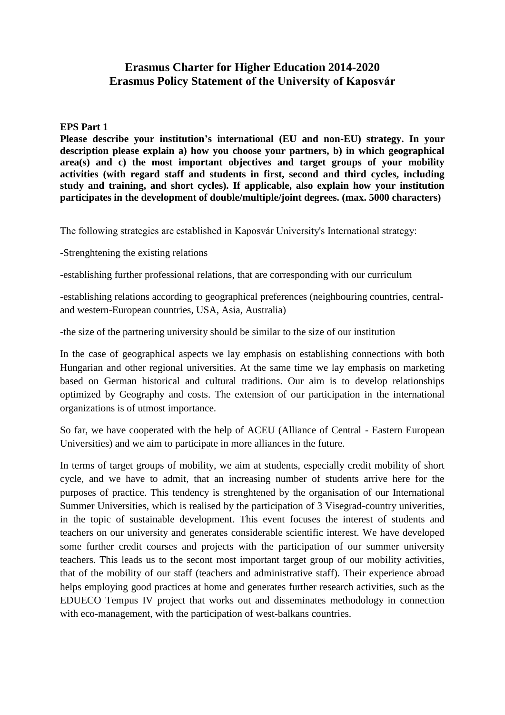## **Erasmus Charter for Higher Education 2014-2020 Erasmus Policy Statement of the University of Kaposvár**

## **EPS Part 1**

**Please describe your institution's international (EU and non-EU) strategy. In your description please explain a) how you choose your partners, b) in which geographical area(s) and c) the most important objectives and target groups of your mobility activities (with regard staff and students in first, second and third cycles, including study and training, and short cycles). If applicable, also explain how your institution participates in the development of double/multiple/joint degrees. (max. 5000 characters)**

The following strategies are established in Kaposvár University's International strategy:

-Strenghtening the existing relations

-establishing further professional relations, that are corresponding with our curriculum

-establishing relations according to geographical preferences (neighbouring countries, centraland western-European countries, USA, Asia, Australia)

-the size of the partnering university should be similar to the size of our institution

In the case of geographical aspects we lay emphasis on establishing connections with both Hungarian and other regional universities. At the same time we lay emphasis on marketing based on German historical and cultural traditions. Our aim is to develop relationships optimized by Geography and costs. The extension of our participation in the international organizations is of utmost importance.

So far, we have cooperated with the help of ACEU (Alliance of Central - Eastern European Universities) and we aim to participate in more alliances in the future.

In terms of target groups of mobility, we aim at students, especially credit mobility of short cycle, and we have to admit, that an increasing number of students arrive here for the purposes of practice. This tendency is strenghtened by the organisation of our International Summer Universities, which is realised by the participation of 3 Visegrad-country univerities, in the topic of sustainable development. This event focuses the interest of students and teachers on our university and generates considerable scientific interest. We have developed some further credit courses and projects with the participation of our summer university teachers. This leads us to the secont most important target group of our mobility activities, that of the mobility of our staff (teachers and administrative staff). Their experience abroad helps employing good practices at home and generates further research activities, such as the EDUECO Tempus IV project that works out and disseminates methodology in connection with eco-management, with the participation of west-balkans countries.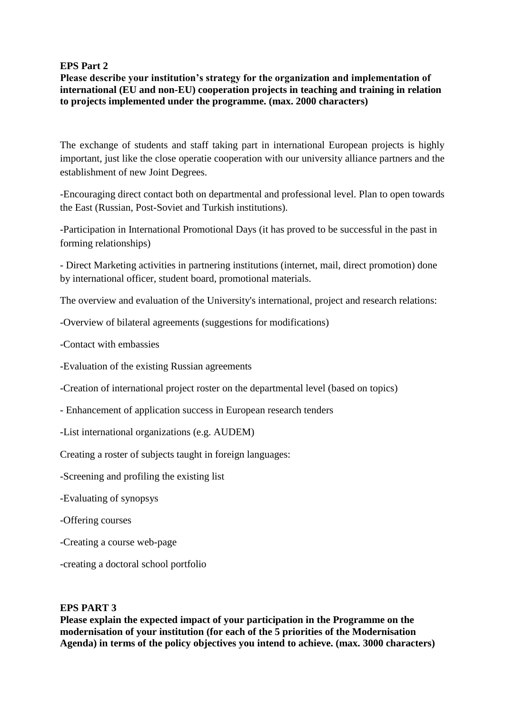## **EPS Part 2**

**Please describe your institution's strategy for the organization and implementation of international (EU and non-EU) cooperation projects in teaching and training in relation to projects implemented under the programme. (max. 2000 characters)**

The exchange of students and staff taking part in international European projects is highly important, just like the close operatie cooperation with our university alliance partners and the establishment of new Joint Degrees.

-Encouraging direct contact both on departmental and professional level. Plan to open towards the East (Russian, Post-Soviet and Turkish institutions).

-Participation in International Promotional Days (it has proved to be successful in the past in forming relationships)

- Direct Marketing activities in partnering institutions (internet, mail, direct promotion) done by international officer, student board, promotional materials.

The overview and evaluation of the University's international, project and research relations:

-Overview of bilateral agreements (suggestions for modifications)

-Contact with embassies

-Evaluation of the existing Russian agreements

-Creation of international project roster on the departmental level (based on topics)

- Enhancement of application success in European research tenders
- -List international organizations (e.g. AUDEM)

Creating a roster of subjects taught in foreign languages:

- -Screening and profiling the existing list
- -Evaluating of synopsys
- -Offering courses
- -Creating a course web-page
- -creating a doctoral school portfolio

## **EPS PART 3**

**Please explain the expected impact of your participation in the Programme on the modernisation of your institution (for each of the 5 priorities of the Modernisation Agenda) in terms of the policy objectives you intend to achieve. (max. 3000 characters)**